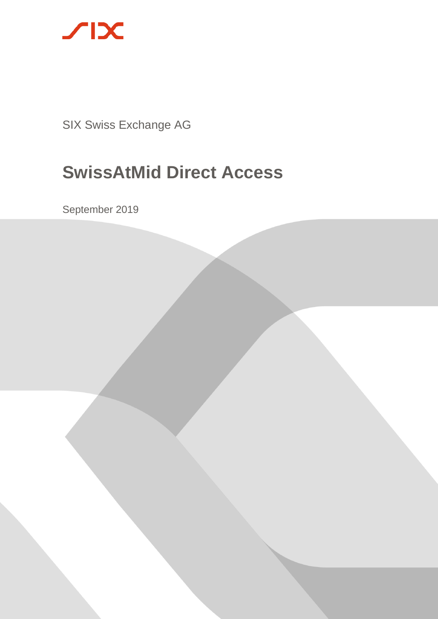

SIX Swiss Exchange AG

# **SwissAtMid Direct Access**

September 2019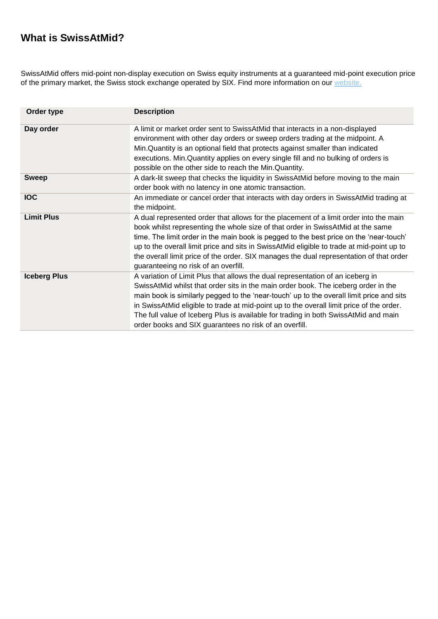# **What is SwissAtMid?**

SwissAtMid offers mid-point non-display execution on Swiss equity instruments at a guaranteed mid-point execution price of the primary market, the Swiss stock exchange operated by SIX. Find more information on our [website](https://www.six-group.com/exchanges/participants/trading/equity_markets/swiss_listed/swissatmid_en.html).

| Order type          | <b>Description</b>                                                                                                                                                                                                                                                                                                                                                                                                                                                                                            |
|---------------------|---------------------------------------------------------------------------------------------------------------------------------------------------------------------------------------------------------------------------------------------------------------------------------------------------------------------------------------------------------------------------------------------------------------------------------------------------------------------------------------------------------------|
| Day order           | A limit or market order sent to SwissAtMid that interacts in a non-displayed<br>environment with other day orders or sweep orders trading at the midpoint. A<br>Min. Quantity is an optional field that protects against smaller than indicated<br>executions. Min. Quantity applies on every single fill and no bulking of orders is<br>possible on the other side to reach the Min. Quantity.                                                                                                               |
| <b>Sweep</b>        | A dark-lit sweep that checks the liquidity in SwissAtMid before moving to the main<br>order book with no latency in one atomic transaction.                                                                                                                                                                                                                                                                                                                                                                   |
| <b>IOC</b>          | An immediate or cancel order that interacts with day orders in SwissAtMid trading at<br>the midpoint.                                                                                                                                                                                                                                                                                                                                                                                                         |
| <b>Limit Plus</b>   | A dual represented order that allows for the placement of a limit order into the main<br>book whilst representing the whole size of that order in SwissAtMid at the same<br>time. The limit order in the main book is pegged to the best price on the 'near-touch'<br>up to the overall limit price and sits in SwissAtMid eligible to trade at mid-point up to<br>the overall limit price of the order. SIX manages the dual representation of that order<br>guaranteeing no risk of an overfill.            |
| <b>Iceberg Plus</b> | A variation of Limit Plus that allows the dual representation of an iceberg in<br>SwissAtMid whilst that order sits in the main order book. The iceberg order in the<br>main book is similarly pegged to the 'near-touch' up to the overall limit price and sits<br>in SwissAtMid eligible to trade at mid-point up to the overall limit price of the order.<br>The full value of Iceberg Plus is available for trading in both SwissAtMid and main<br>order books and SIX guarantees no risk of an overfill. |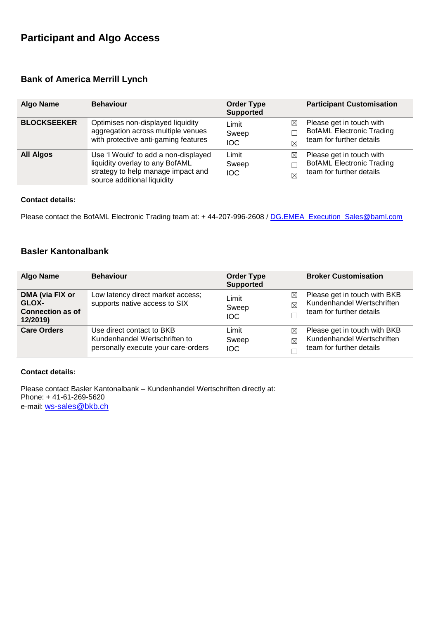# **Participant and Algo Access**

## **Bank of America Merrill Lynch**

| <b>Algo Name</b>   | <b>Behaviour</b>                                                                                                                             | <b>Order Type</b><br><b>Supported</b>                    | <b>Participant Customisation</b>                                                         |
|--------------------|----------------------------------------------------------------------------------------------------------------------------------------------|----------------------------------------------------------|------------------------------------------------------------------------------------------|
| <b>BLOCKSEEKER</b> | Optimises non-displayed liquidity<br>aggregation across multiple venues<br>with protective anti-gaming features                              | $\bowtie$<br>Limit<br>Sweep<br><b>IOC</b><br>$\boxtimes$ | Please get in touch with<br><b>BofAML Electronic Trading</b><br>team for further details |
| <b>All Algos</b>   | Use 'I Would' to add a non-displayed<br>liquidity overlay to any BofAML<br>strategy to help manage impact and<br>source additional liquidity | Limit<br>⊠<br>Sweep<br><b>IOC</b><br>$\boxtimes$         | Please get in touch with<br><b>BofAML Electronic Trading</b><br>team for further details |

## **Contact details:**

Please contact the BofAML Electronic Trading team at: + 44-207-996-2608 / [DG.EMEA\\_Execution\\_Sales@baml.com](mailto:DG.EMEA_Execution_Sales@baml.com)

## **Basler Kantonalbank**

| <b>Algo Name</b>                                                | <b>Behaviour</b>                                                                                  | <b>Order Type</b><br><b>Supported</b>                    | <b>Broker Customisation</b>                                                            |
|-----------------------------------------------------------------|---------------------------------------------------------------------------------------------------|----------------------------------------------------------|----------------------------------------------------------------------------------------|
| DMA (via FIX or<br>GLOX-<br><b>Connection as of</b><br>12/2019) | Low latency direct market access;<br>supports native access to SIX                                | ⊠<br>Limit<br>$\boxtimes$<br>Sweep<br><b>IOC</b>         | Please get in touch with BKB<br>Kundenhandel Wertschriften<br>team for further details |
| <b>Care Orders</b>                                              | Use direct contact to BKB<br>Kundenhandel Wertschriften to<br>personally execute your care-orders | Limit<br>$\bowtie$<br>Sweep<br>$\boxtimes$<br><b>IOC</b> | Please get in touch with BKB<br>Kundenhandel Wertschriften<br>team for further details |

#### **Contact details:**

Please contact Basler Kantonalbank – Kundenhandel Wertschriften directly at: Phone: + 41-61-269-5620 e-mail: [ws-sales@bkb.ch](mailto:ws-sales@bkb.ch)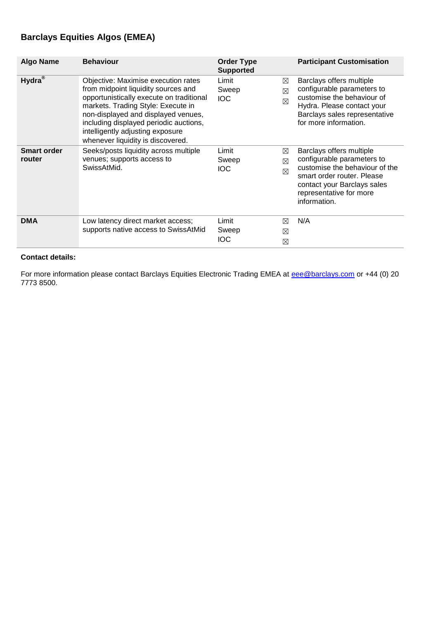# **Barclays Equities Algos (EMEA)**

| <b>Algo Name</b>             | <b>Behaviour</b>                                                                                                                                                                                                                                                                                                       | <b>Order Type</b><br><b>Supported</b>                               | <b>Participant Customisation</b>                                                                                                                                                                 |
|------------------------------|------------------------------------------------------------------------------------------------------------------------------------------------------------------------------------------------------------------------------------------------------------------------------------------------------------------------|---------------------------------------------------------------------|--------------------------------------------------------------------------------------------------------------------------------------------------------------------------------------------------|
| Hydra <sup>®</sup>           | Objective: Maximise execution rates<br>from midpoint liquidity sources and<br>opportunistically execute on traditional<br>markets. Trading Style: Execute in<br>non-displayed and displayed venues,<br>including displayed periodic auctions,<br>intelligently adjusting exposure<br>whenever liquidity is discovered. | Limit<br>⊠<br>Sweep<br>$\boxtimes$<br><b>IOC</b><br>$\boxtimes$     | Barclays offers multiple<br>configurable parameters to<br>customise the behaviour of<br>Hydra. Please contact your<br>Barclays sales representative<br>for more information.                     |
| <b>Smart order</b><br>router | Seeks/posts liquidity across multiple<br>venues; supports access to<br>SwissAtMid.                                                                                                                                                                                                                                     | Limit<br>$\boxtimes$<br>Sweep<br>$\boxtimes$<br>IOC.<br>$\boxtimes$ | Barclays offers multiple<br>configurable parameters to<br>customise the behaviour of the<br>smart order router. Please<br>contact your Barclays sales<br>representative for more<br>information. |
| <b>DMA</b>                   | Low latency direct market access;<br>supports native access to SwissAtMid                                                                                                                                                                                                                                              | Limit<br>⊠<br>Sweep<br>⊠<br>IOC<br>⊠                                | N/A                                                                                                                                                                                              |

## **Contact details:**

For more information please contact Barclays Equities Electronic Trading EMEA at [eee@barclays.com](mailto:eee@barclays.com) or +44 (0) 20 7773 8500.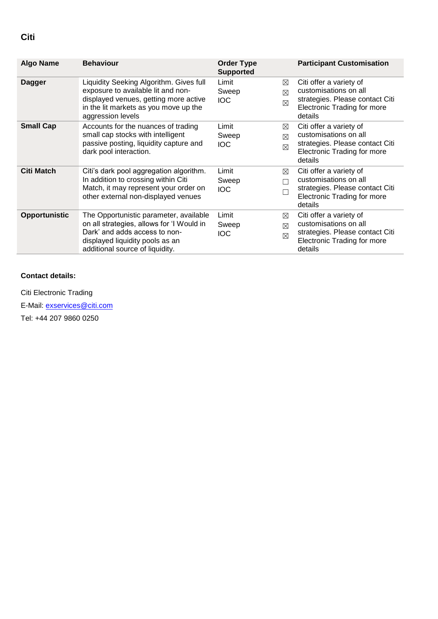| <b>Algo Name</b>  | <b>Behaviour</b>                                                                                                                                                                           | <b>Order Type</b><br><b>Supported</b>                           | <b>Participant Customisation</b>                                                                                                     |
|-------------------|--------------------------------------------------------------------------------------------------------------------------------------------------------------------------------------------|-----------------------------------------------------------------|--------------------------------------------------------------------------------------------------------------------------------------|
| <b>Dagger</b>     | Liquidity Seeking Algorithm. Gives full<br>exposure to available lit and non-<br>displayed venues, getting more active<br>in the lit markets as you move up the<br>aggression levels       | Limit<br>⊠<br>Sweep<br>$\boxtimes$<br><b>IOC</b><br>$\boxtimes$ | Citi offer a variety of<br>customisations on all<br>strategies. Please contact Citi<br><b>Electronic Trading for more</b><br>details |
| <b>Small Cap</b>  | Accounts for the nuances of trading<br>small cap stocks with intelligent<br>passive posting, liquidity capture and<br>dark pool interaction.                                               | Limit<br>⊠<br>Sweep<br>$\boxtimes$<br><b>IOC</b><br>$\boxtimes$ | Citi offer a variety of<br>customisations on all<br>strategies. Please contact Citi<br><b>Electronic Trading for more</b><br>details |
| <b>Citi Match</b> | Citi's dark pool aggregation algorithm.<br>In addition to crossing within Citi<br>Match, it may represent your order on<br>other external non-displayed venues                             | Limit<br>⊠<br>Sweep<br><b>IOC</b><br>$\Box$                     | Citi offer a variety of<br>customisations on all<br>strategies. Please contact Citi<br><b>Electronic Trading for more</b><br>details |
| Opportunistic     | The Opportunistic parameter, available<br>on all strategies, allows for 'I Would in<br>Dark' and adds access to non-<br>displayed liquidity pools as an<br>additional source of liquidity. | Limit<br>⊠<br>Sweep<br>$\boxtimes$<br><b>IOC</b><br>$\boxtimes$ | Citi offer a variety of<br>customisations on all<br>strategies. Please contact Citi<br>Electronic Trading for more<br>details        |

## **Contact details:**

Citi Electronic Trading E-Mail: [exservices@citi.com](mailto:exservices@citi.com) Tel: +44 207 9860 0250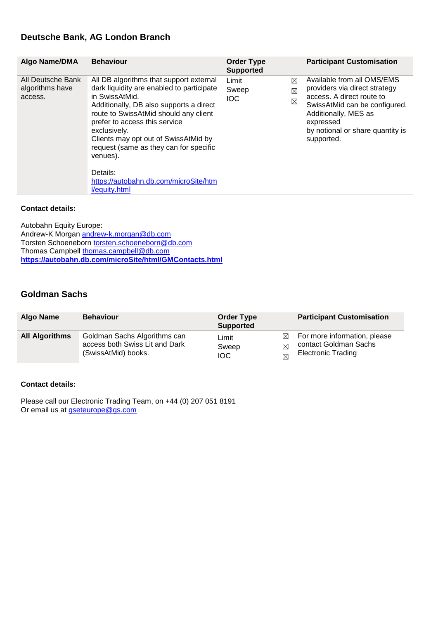## **Deutsche Bank, AG London Branch**

| Algo Name/DMA                                   | <b>Behaviour</b>                                                                                                                                                                                                                                                                                                                                                                               | <b>Order Type</b><br><b>Supported</b>                           | <b>Participant Customisation</b>                                                                                                                                                                                 |
|-------------------------------------------------|------------------------------------------------------------------------------------------------------------------------------------------------------------------------------------------------------------------------------------------------------------------------------------------------------------------------------------------------------------------------------------------------|-----------------------------------------------------------------|------------------------------------------------------------------------------------------------------------------------------------------------------------------------------------------------------------------|
| All Deutsche Bank<br>algorithms have<br>access. | All DB algorithms that support external<br>dark liquidity are enabled to participate<br>in SwissAtMid.<br>Additionally, DB also supports a direct<br>route to SwissAtMid should any client<br>prefer to access this service<br>exclusively.<br>Clients may opt out of SwissAtMid by<br>request (same as they can for specific<br>venues).<br>Details:<br>https://autobahn.db.com/microSite/htm | Limit<br>$\boxtimes$<br>Sweep<br>$\boxtimes$<br><b>IOC</b><br>⊠ | Available from all OMS/EMS<br>providers via direct strategy<br>access. A direct route to<br>SwissAtMid can be configured.<br>Additionally, MES as<br>expressed<br>by notional or share quantity is<br>supported. |
|                                                 | <i>l</i> /equity.html                                                                                                                                                                                                                                                                                                                                                                          |                                                                 |                                                                                                                                                                                                                  |

#### **Contact details:**

Autobahn Equity Europe: Andrew-K Morgan [andrew-k.morgan@db.com](mailto:andrew-k.morgan@db.com) Torsten Schoeneborn [torsten.schoeneborn@db.com](mailto:torsten.schoeneborn@db.com) Thomas Campbell [thomas.campbell@db.com](mailto:thomas.campbell@db.com) **<https://autobahn.db.com/microSite/html/GMContacts.html>**

## **Goldman Sachs**

| Algo Name             | <b>Behaviour</b>                                                                      | <b>Order Type</b><br><b>Supported</b> |                | <b>Participant Customisation</b>                                                   |
|-----------------------|---------------------------------------------------------------------------------------|---------------------------------------|----------------|------------------------------------------------------------------------------------|
| <b>All Algorithms</b> | Goldman Sachs Algorithms can<br>access both Swiss Lit and Dark<br>(SwissAtMid) books. | Limit<br>Sweep<br><b>IOC</b>          | $\bowtie$<br>⊠ | For more information, please<br>contact Goldman Sachs<br><b>Electronic Trading</b> |

#### **Contact details:**

Please call our Electronic Trading Team, on +44 (0) 207 051 8191 Or email us at **gseteurope@gs.com**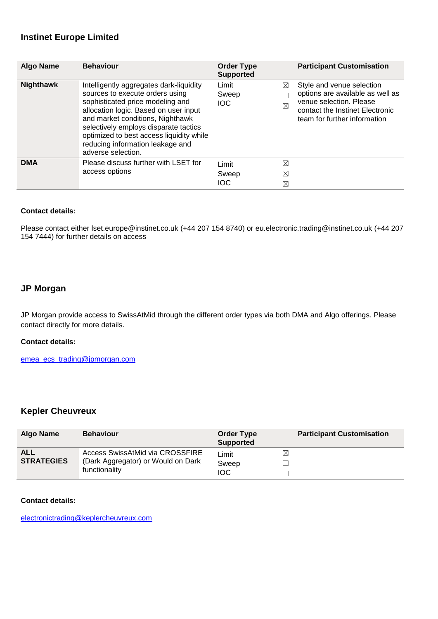## **Instinet Europe Limited**

| <b>Algo Name</b> | <b>Behaviour</b>                                                                                                                                                                                                                                                                                                                           | <b>Order Type</b><br><b>Supported</b> | <b>Participant Customisation</b>                                                                                                                                                |
|------------------|--------------------------------------------------------------------------------------------------------------------------------------------------------------------------------------------------------------------------------------------------------------------------------------------------------------------------------------------|---------------------------------------|---------------------------------------------------------------------------------------------------------------------------------------------------------------------------------|
| <b>Nighthawk</b> | Intelligently aggregates dark-liquidity<br>sources to execute orders using<br>sophisticated price modeling and<br>allocation logic. Based on user input<br>and market conditions, Nighthawk<br>selectively employs disparate tactics<br>optimized to best access liquidity while<br>reducing information leakage and<br>adverse selection. | Limit<br>Sweep<br><b>IOC</b>          | Style and venue selection<br>⊠<br>options are available as well as<br>venue selection. Please<br>$\boxtimes$<br>contact the Instinet Electronic<br>team for further information |
| <b>DMA</b>       | Please discuss further with LSET for<br>access options                                                                                                                                                                                                                                                                                     | Limit<br>Sweep<br><b>IOC</b>          | ⊠<br>$\boxtimes$<br>$\boxtimes$                                                                                                                                                 |

#### **Contact details:**

Please contact either [lset.europe@instinet.co.uk](mailto:lset.europe@instinet.co.uk) (+44 207 154 8740) or [eu.electronic.trading@instinet.co.uk](mailto:eu.electronic.trading@instinet.co.uk) (+44 207 154 7444) for further details on access

## **JP Morgan**

JP Morgan provide access to SwissAtMid through the different order types via both DMA and Algo offerings. Please contact directly for more details.

#### **Contact details:**

[emea\\_ecs\\_trading@jpmorgan.com](mailto:emea_ecs_trading@jpmorgan.com)

## **Kepler Cheuvreux**

| <b>Algo Name</b>  | <b>Behaviour</b>                                    | <b>Order Type</b><br><b>Supported</b> | <b>Participant Customisation</b> |
|-------------------|-----------------------------------------------------|---------------------------------------|----------------------------------|
| <b>ALL</b>        | <b>Access SwissAtMid via CROSSFIRE</b>              | Limit                                 | $\boxtimes$                      |
| <b>STRATEGIES</b> | (Dark Aggregator) or Would on Dark<br>functionality | Sweep                                 |                                  |
|                   |                                                     | <b>IOC</b>                            |                                  |

#### **Contact details:**

[electronictrading@keplercheuvreux.com](mailto:electronictrading@keplercheuvreux.com)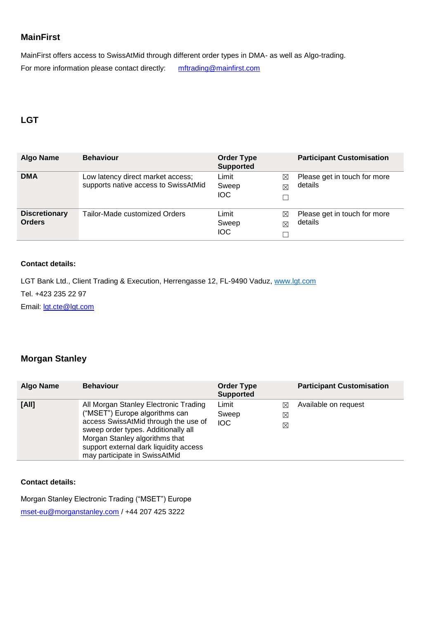## **MainFirst**

MainFirst offers access to SwissAtMid through different order types in DMA- as well as Algo-trading. For more information please contact directly: [mftrading@mainfirst.com](mailto:mftrading@mainfirst.com)

## **LGT**

| Algo Name                             | <b>Behaviour</b>                                                          | <b>Order Type</b><br><b>Supported</b>            | <b>Participant Customisation</b>        |
|---------------------------------------|---------------------------------------------------------------------------|--------------------------------------------------|-----------------------------------------|
| <b>DMA</b>                            | Low latency direct market access;<br>supports native access to SwissAtMid | Limit<br>⊠<br>Sweep<br>⊠<br><b>IOC</b>           | Please get in touch for more<br>details |
| <b>Discretionary</b><br><b>Orders</b> | Tailor-Made customized Orders                                             | Limit<br>⊠<br>Sweep<br>$\boxtimes$<br><b>IOC</b> | Please get in touch for more<br>details |

## **Contact details:**

LGT Bank Ltd., Client Trading & Execution, Herrengasse 12, FL-9490 Vaduz, [www.lgt.com](file:///C:/Users/tk2gf/AppData/Local/Microsoft/Windows/Temporary%20Internet%20Files/Content.Outlook/E2A6DG1X/www.lgt.com)

Tel. +423 235 22 97

Email: [lgt.cte@lgt.com](mailto:lgt.cte@lgt.com)

## **Morgan Stanley**

| <b>Algo Name</b> | <b>Behaviour</b>                                                                                                                                                                                                                                                    | <b>Order Type</b><br><b>Supported</b> |                                         | <b>Participant Customisation</b> |
|------------------|---------------------------------------------------------------------------------------------------------------------------------------------------------------------------------------------------------------------------------------------------------------------|---------------------------------------|-----------------------------------------|----------------------------------|
| [All]            | All Morgan Stanley Electronic Trading<br>("MSET") Europe algorithms can<br>access SwissAtMid through the use of<br>sweep order types. Additionally all<br>Morgan Stanley algorithms that<br>support external dark liquidity access<br>may participate in SwissAtMid | Limit<br>Sweep<br><b>IOC</b>          | $\bowtie$<br>$\boxtimes$<br>$\boxtimes$ | Available on request             |

## **Contact details:**

Morgan Stanley Electronic Trading ("MSET") Europe [mset-eu@morganstanley.com](mailto:mset-eu@morganstanley.com) / +44 207 425 3222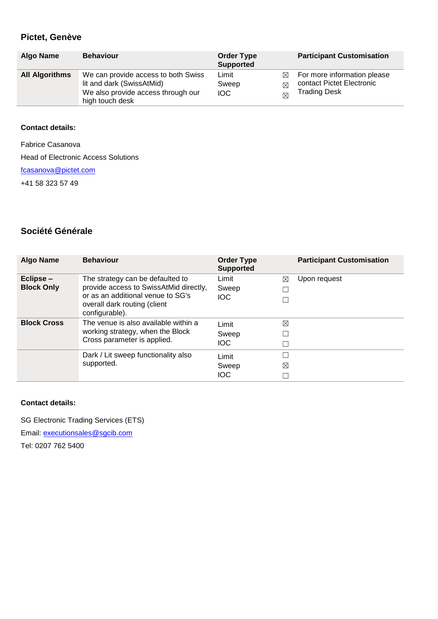## **Pictet, Genève**

| <b>Algo Name</b>      | <b>Behaviour</b>                                                                                                          | <b>Order Type</b><br><b>Supported</b>       | <b>Participant Customisation</b>                                                |
|-----------------------|---------------------------------------------------------------------------------------------------------------------------|---------------------------------------------|---------------------------------------------------------------------------------|
| <b>All Algorithms</b> | We can provide access to both Swiss<br>lit and dark (SwissAtMid)<br>We also provide access through our<br>high touch desk | Limit<br>⊠<br>Sweep<br>⊠<br><b>IOC</b><br>M | For more information please<br>contact Pictet Electronic<br><b>Trading Desk</b> |

#### **Contact details:**

Fabrice Casanova

Head of Electronic Access Solutions

[fcasanova@pictet.com](mailto:fcasanova@pictet.com)

+41 58 323 57 49

## **Société Générale**

| Algo Name                      | <b>Behaviour</b>                                                                                                                                | <b>Order Type</b><br><b>Supported</b> |   | <b>Participant Customisation</b> |
|--------------------------------|-------------------------------------------------------------------------------------------------------------------------------------------------|---------------------------------------|---|----------------------------------|
| Eclipse –<br><b>Block Only</b> | The strategy can be defaulted to<br>provide access to SwissAtMid directly,<br>or as an additional venue to SG's<br>overall dark routing (client | Limit<br>Sweep<br><b>IOC</b>          | ⊠ | Upon request                     |
|                                | configurable).                                                                                                                                  |                                       |   |                                  |
| <b>Block Cross</b>             | The venue is also available within a                                                                                                            | Limit                                 | ⊠ |                                  |
|                                | working strategy, when the Block<br>Cross parameter is applied.                                                                                 | Sweep                                 |   |                                  |
|                                |                                                                                                                                                 | <b>IOC</b>                            |   |                                  |
|                                | Dark / Lit sweep functionality also                                                                                                             | Limit                                 | П |                                  |
|                                | supported.                                                                                                                                      | Sweep                                 | ⊠ |                                  |
|                                |                                                                                                                                                 | <b>IOC</b>                            |   |                                  |

#### **Contact details:**

SG Electronic Trading Services (ETS)

Email: [executionsales@sgcib.com](mailto:executionsales@sgcib.com)

Tel: 0207 762 5400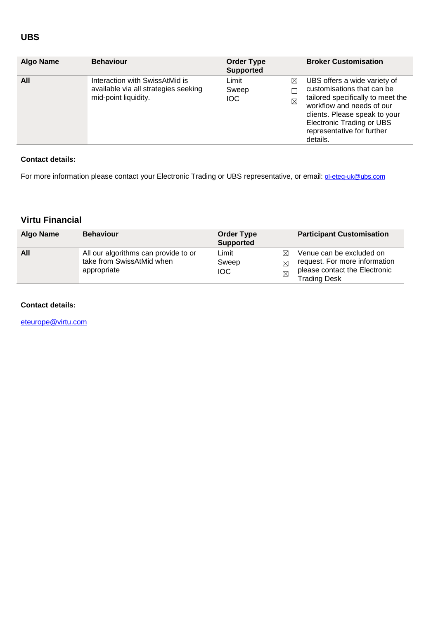## **UBS**

| <b>Algo Name</b> | <b>Behaviour</b>                                                                               | <b>Order Type</b><br><b>Supported</b>            | <b>Broker Customisation</b>                                                                                                                                                                                                                 |
|------------------|------------------------------------------------------------------------------------------------|--------------------------------------------------|---------------------------------------------------------------------------------------------------------------------------------------------------------------------------------------------------------------------------------------------|
| All              | Interaction with SwissAtMid is<br>available via all strategies seeking<br>mid-point liquidity. | Limit<br>⊠<br>Sweep<br><b>IOC</b><br>$\boxtimes$ | UBS offers a wide variety of<br>customisations that can be<br>tailored specifically to meet the<br>workflow and needs of our<br>clients. Please speak to your<br><b>Electronic Trading or UBS</b><br>representative for further<br>details. |

#### **Contact details:**

For more information please contact your Electronic Trading or UBS representative, or email: **[ol-eteq-uk@ubs.com](mailto:ol-eteq-uk@ubs.com)** 

# **Virtu Financial**

| Algo Name | <b>Behaviour</b>                                                                 | <b>Order Type</b><br><b>Supported</b> |                               | <b>Participant Customisation</b>                                                                                  |
|-----------|----------------------------------------------------------------------------------|---------------------------------------|-------------------------------|-------------------------------------------------------------------------------------------------------------------|
| All       | All our algorithms can provide to or<br>take from SwissAtMid when<br>appropriate | Limit<br>Sweep<br><b>IOC</b>          | $\bowtie$<br>⊠<br>$\boxtimes$ | Venue can be excluded on<br>request. For more information<br>please contact the Electronic<br><b>Trading Desk</b> |

## **Contact details:**

[eteurope@virtu.com](mailto:eteurope@virtu.com)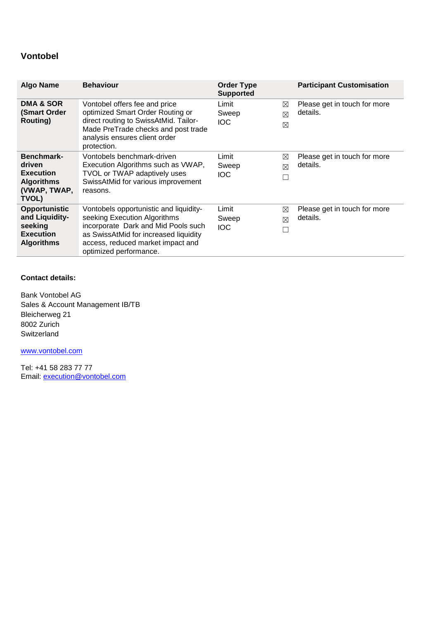## **Vontobel**

| <b>Algo Name</b>                                                                           | <b>Behaviour</b>                                                                                                                                                                                                      | <b>Order Type</b><br><b>Supported</b>  |   | <b>Participant Customisation</b>         |
|--------------------------------------------------------------------------------------------|-----------------------------------------------------------------------------------------------------------------------------------------------------------------------------------------------------------------------|----------------------------------------|---|------------------------------------------|
| <b>DMA &amp; SOR</b><br>(Smart Order<br><b>Routing</b> )                                   | Vontobel offers fee and price<br>optimized Smart Order Routing or<br>direct routing to SwissAtMid. Tailor-<br>Made PreTrade checks and post trade<br>analysis ensures client order<br>protection.                     | Limit<br>Sweep<br>⊠<br><b>IOC</b><br>⊠ | ⊠ | Please get in touch for more<br>details. |
| Benchmark-<br>driven<br><b>Execution</b><br><b>Algorithms</b><br>(VWAP, TWAP,<br>TVOL)     | Vontobels benchmark-driven<br>Execution Algorithms such as VWAP,<br>TVOL or TWAP adaptively uses<br>SwissAtMid for various improvement<br>reasons.                                                                    | Limit<br>Sweep<br>⊠<br>IOC.            | ⊠ | Please get in touch for more<br>details. |
| <b>Opportunistic</b><br>and Liquidity-<br>seeking<br><b>Execution</b><br><b>Algorithms</b> | Vontobels opportunistic and liquidity-<br>seeking Execution Algorithms<br>incorporate Dark and Mid Pools such<br>as SwissAtMid for increased liquidity<br>access, reduced market impact and<br>optimized performance. | Limit<br>⊠<br>Sweep<br>⊠<br><b>IOC</b> | П | Please get in touch for more<br>details. |

## **Contact details:**

Bank Vontobel AG Sales & Account Management IB/TB Bleicherweg 21 8002 Zurich Switzerland

[www.vontobel.com](http://www.vontobel.com/)

Tel: +41 58 283 77 77 Email: [execution@vontobel.com](mailto:execution@vontobel.com)